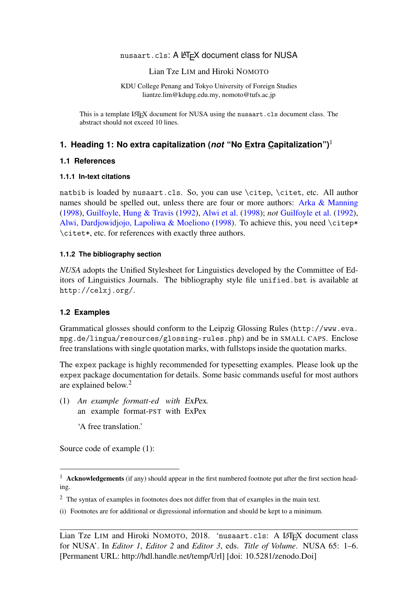# nusaart.cls: A LATEX document class for NUSA

### Lian Tze LIM and Hiroki NOMOTO

KDU College Penang and Tokyo University of Foreign Studies [liantze.lim@kdupg.edu.my,](mailto:liantze.lim@kdupg.edu.my) [nomoto@tufs.ac.jp](mailto:nomoto@tufs.ac.jp)

This is a template LATEX document for NUSA using the nusaart.cls document class. The abstract should not exceed 10 lines.

# **1. Heading 1: No extra capitalization (***not* **"No Extra Capitalization")**[1](#page-0-0)

# **1.1 References**

### **1.1.1 In-text citations**

natbib is loaded by nusaart.cls. So, you can use \citep, \citet, etc. All author names should be spelled out, unless there are four or more authors: [Arka & Manning](#page-5-0) [\(1998\)](#page-5-0), [Guilfoyle, Hung & Travis](#page-5-1) [\(1992\)](#page-5-1), [Alwi et al.](#page-5-2) [\(1998\)](#page-5-2); *not* [Guilfoyle et al.](#page-5-1) [\(1992\)](#page-5-1), [Alwi, Dardjowidjojo, Lapoliwa & Moeliono](#page-5-2) [\(1998\)](#page-5-2). To achieve this, you need \citep\* \citet\*, etc. for references with exactly three authors.

# **1.1.2 The bibliography section**

*NUSA* adopts the Unified Stylesheet for Linguistics developed by the Committee of Editors of Linguistics Journals. The bibliography style file unified.bst is available at <http://celxj.org/>.

# **1.2 Examples**

Grammatical glosses should conform to the Leipzig Glossing Rules ([http://www.eva.](http://www.eva.mpg.de/lingua/resources/glossing-rules.php) [mpg.de/lingua/resources/glossing-rules.php](http://www.eva.mpg.de/lingua/resources/glossing-rules.php)) and be in SMALL CAPS. Enclose free translations with single quotation marks, with fullstops inside the quotation marks.

The expex package is highly recommended for typesetting examples. Please look up the expex package documentation for details. Some basic commands useful for most authors are explained below.[2](#page-0-1)

(1) *An example formatt-ed with* ExPex*.* an example format-PST with ExPex

'A free translation.'

Source code of example (1):

<span id="page-0-0"></span><sup>&</sup>lt;sup>1</sup> Acknowledgements (if any) should appear in the first numbered footnote put after the first section heading.

<span id="page-0-1"></span><sup>&</sup>lt;sup>2</sup> The syntax of examples in footnotes does not differ from that of examples in the main text.

<sup>(</sup>i) Footnotes are for additional or digressional information and should be kept to a minimum.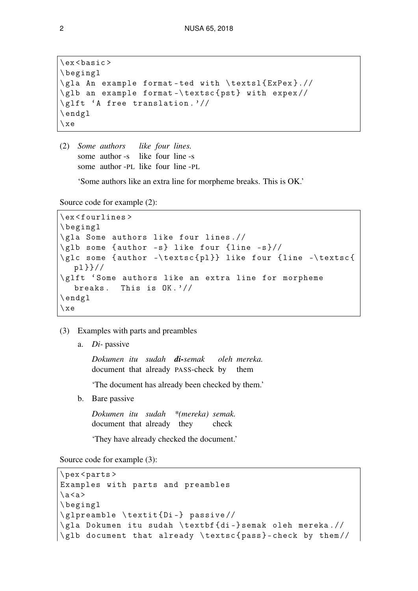```
\ ex < basic >
\ begingl
\ gla An example format - ted with \ textsl { ExPex }.//
\ glb an example format -\ textsc { pst } with expex //
\ glft 'A free translation . '//
\ endgl
\setminus xe
```
(2) *Some authors* some author -s like four line -s some author -PL like four line -PL *like four lines.*

'Some authors like an extra line for morpheme breaks. This is OK.'

Source code for example (2):

```
\ ex < fourlines >
\ begingl
\ gla Some authors like four lines .//
\gtrsimglb some {author -s} like four {line -s}//
\glc some {author -\textsc{pl}} like four {line -\textsc{
  pl }}//
\ glft ' Some authors like an extra line for morpheme
  breaks. This is 0K.'//\ endgl
\ xe
```
- (3) Examples with parts and preambles
	- a. *Di-* passive

*Dokumen itu sudah di-semak* document that already PASS-check by *oleh mereka.* them

'The document has already been checked by them.'

b. Bare passive

*Dokumen itu sudah \*(mereka) semak.* document that already they check

'They have already checked the document.'

Source code for example (3):

```
\ pex < parts >
Examples with parts and preambles
\a < a\ begingl
\ glpreamble \ textit { Di -} passive //
\ gla Dokumen itu sudah \ textbf { di -} semak oleh mereka .//
\ glb document that already \ textsc { pass } - check by them //
```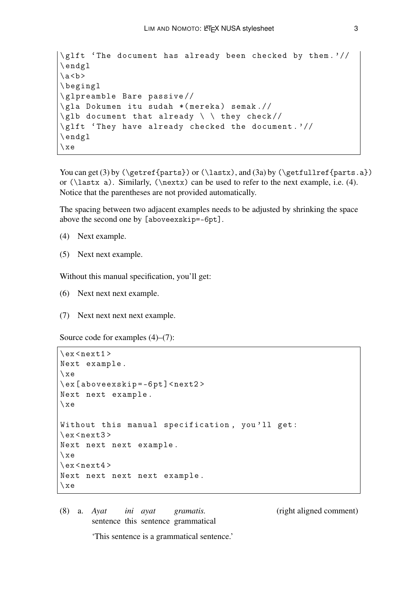```
\glft 'The document has already been checked by them.'//
\ endgl
\a < b\ begingl
\ glpreamble Bare passive //
\ gla Dokumen itu sudah *( mereka ) semak .//
\gtrsim document that already \qquad \qquad \qquad they check//
\glft 'They have already checked the document.'//
\ endgl
\ xe
```

```
You can get (3) by (\getref{\parts}) or (\lastx), and (3a) by (\getfullref{\parts.a})or (\lastx a). Similarly, (\nextrowright can be used to refer to the next example, i.e. (4).
Notice that the parentheses are not provided automatically.
```
The spacing between two adjacent examples needs to be adjusted by shrinking the space above the second one by [aboveexskip=-6pt].

- (4) Next example.
- (5) Next next example.

Without this manual specification, you'll get:

- (6) Next next next example.
- (7) Next next next next example.

Source code for examples (4)–(7):

```
\text{ex} < next 1 >
Next example .
\ xe
\ ex [ aboveexskip = -6 pt ] < next2 >
Next next example .
\chi xe
Without this manual specification, you'll get:
\ex < next 3 >
Next next next example .
\chie
\text{ex} < next 4 >
Next next next next example .
\ xe
```
(8) a. *Ayat ini ayat gramatis.* (right aligned comment) sentence this sentence grammatical *ini ayat gramatis.*

'This sentence is a grammatical sentence.'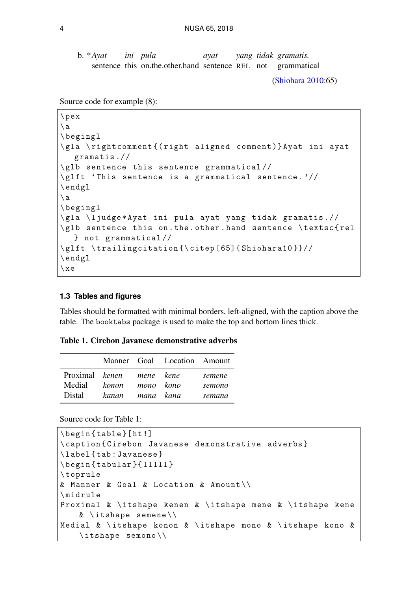b. \**Ayat* sentence this on.the.other.hand sentence REL not grammatical *ini pula ayat yang tidak gramatis.*

[\(Shiohara](#page-5-3) [2010:](#page-5-3)65)

Source code for example (8):

```
\ pex
\a\ begingl
\ gla \ rightcomment {( right aligned comment )} Ayat ini ayat
   gramatis .//
\ glb sentence this sentence grammatical //
\ glft ' This sentence is a grammatical sentence . '//
\ endgl
\langle a \rangle\ begingl
\ gla \ ljudge * Ayat ini pula ayat yang tidak gramatis .//
\glb sentence this on.the.other.hand sentence \textsc{rel
  } not grammatical //
\glft \trailingcitation{\citep [65]{Shiohara10}}//
\ endgl
\ xe
```
#### **1.3 Tables and figures**

Tables should be formatted with minimal borders, left-aligned, with the caption above the table. The booktabs package is used to make the top and bottom lines thick.

| Table 1. Cirebon Javanese demonstrative adverbs |  |
|-------------------------------------------------|--|
|-------------------------------------------------|--|

<span id="page-3-0"></span>

|                                              |                          |           | Manner Goal Location Amount |                            |
|----------------------------------------------|--------------------------|-----------|-----------------------------|----------------------------|
| Proximal kenen mene kene<br>Medial<br>Distal | konon<br>kanan mana kana | mono kono |                             | semene<br>semono<br>semana |

Source code for Table [1:](#page-3-0)

```
\ begin { table }[ ht !]
\ caption { Cirebon Javanese demonstrative adverbs }
\ label { tab : Javanese }
\begin{cases} \begin { tabular } { lllll }
\ toprule
& Manner & Goal & Location & Amount \\
\ midrule
Proximal \& \itshape kenen \& \itshape mene \& \itshape kene
    & \ itshape semene \\
Medial & \ itshape konon & \ itshape mono & \ itshape kono &
    \itshape semono\\
```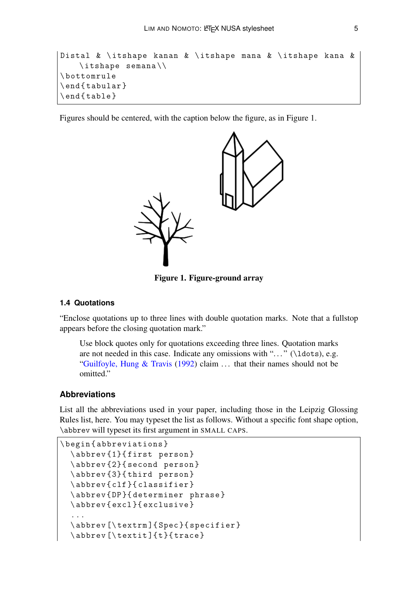```
Distal & \ itshape kanan & \ itshape mana & \ itshape kana &
    \itshape semana\\
\ bottomrule
\ end { tabular }
\end{table}
```
<span id="page-4-0"></span>Figures should be centered, with the caption below the figure, as in Figure [1.](#page-4-0)



Figure 1. Figure-ground array

#### **1.4 Quotations**

"Enclose quotations up to three lines with double quotation marks. Note that a fullstop appears before the closing quotation mark."

Use block quotes only for quotations exceeding three lines. Quotation marks are not needed in this case. Indicate any omissions with " $\dots$  " (\ldots), e.g. ["Guilfoyle, Hung & Travis](#page-5-1) [\(1992\)](#page-5-1) claim ... that their names should not be omitted."

### **Abbreviations**

List all the abbreviations used in your paper, including those in the Leipzig Glossing Rules list, here. You may typeset the list as follows. Without a specific font shape option, \abbrev will typeset its first argument in SMALL CAPS.

```
\ begin { abbreviations }
  \ abbrev {1}{ first person }
  \ abbrev {2}{ second person }
  \ abbrev {3}{ third person }
  \ abbrev { clf }{ classifier }
  \ abbrev { DP }{ determiner phrase }
  \abbrev{excl}{ exclusive }
  ...
  \abbrev [\textrm] { Spec } { specifier }
  \abbrev [\textit]{t}{trace}
```